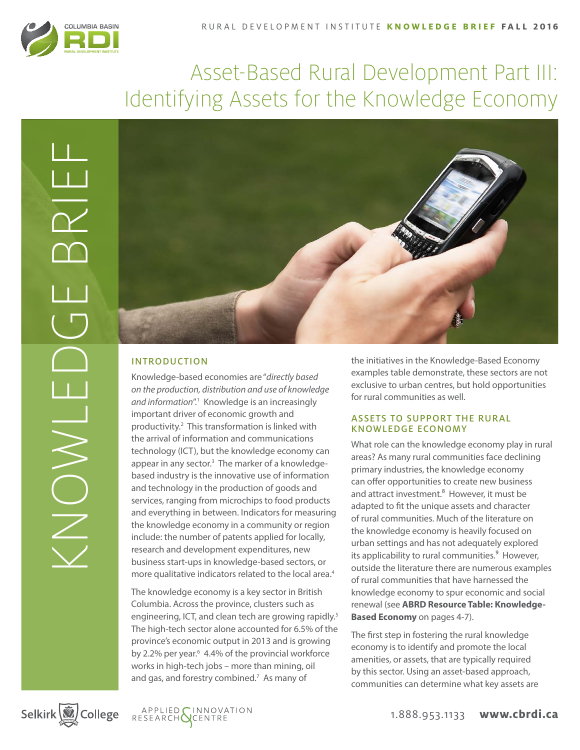

# Asset-Based Rural Development Part III: Identifying Assets for the Knowledge Economy



# INTRODUCTION

Knowledge-based economies are "*directly based on the production, distribution and use of knowledge*  and information<sup>".1</sup> Knowledge is an increasingly important driver of economic growth and productivity.<sup>2</sup> This transformation is linked with the arrival of information and communications technology (ICT), but the knowledge economy can appear in any sector.<sup>3</sup> The marker of a knowledgebased industry is the innovative use of information and technology in the production of goods and services, ranging from microchips to food products and everything in between. Indicators for measuring the knowledge economy in a community or region include: the number of patents applied for locally, research and development expenditures, new business start-ups in knowledge-based sectors, or more qualitative indicators related to the local area.<sup>4</sup>

The knowledge economy is a key sector in British Columbia. Across the province, clusters such as engineering, ICT, and clean tech are growing rapidly.<sup>5</sup> The high-tech sector alone accounted for 6.5% of the province's economic output in 2013 and is growing by 2.2% per year.<sup>6</sup> 4.4% of the provincial workforce works in high-tech jobs – more than mining, oil and gas, and forestry combined.<sup>7</sup> As many of

the initiatives in the Knowledge-Based Economy examples table demonstrate, these sectors are not exclusive to urban centres, but hold opportunities for rural communities as well.

## ASSETS TO SUPPORT THE RURAL KNOWLEDGE ECONOMY

What role can the knowledge economy play in rural areas? As many rural communities face declining primary industries, the knowledge economy can offer opportunities to create new business and attract investment.<sup>8</sup> However, it must be adapted to fit the unique assets and character of rural communities. Much of the literature on the knowledge economy is heavily focused on urban settings and has not adequately explored its applicability to rural communities.<sup>9</sup> However, outside the literature there are numerous examples of rural communities that have harnessed the knowledge economy to spur economic and social renewal (see **ABRD Resource Table: Knowledge-Based Economy** on pages 4-7).

The first step in fostering the rural knowledge economy is to identify and promote the local amenities, or assets, that are typically required by this sector. Using an asset-based approach, communities can determine what key assets are





1.888.953.1133 **www.cbrdi.ca**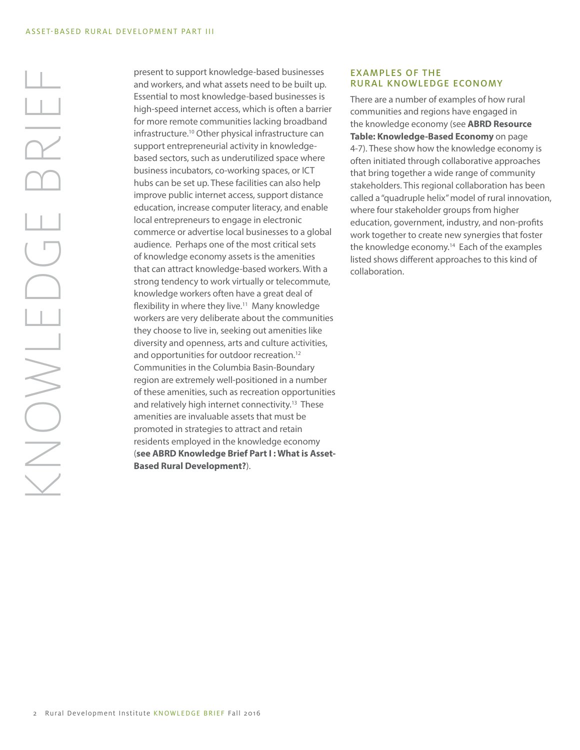present to support knowledge-based businesses and workers, and what assets need to be built up. Essential to most knowledge-based businesses is high-speed internet access, which is often a barrier for more remote communities lacking broadband infrastructure.10 Other physical infrastructure can support entrepreneurial activity in knowledgebased sectors, such as underutilized space where business incubators, co-working spaces, or ICT hubs can be set up. These facilities can also help improve public internet access, support distance education, increase computer literacy, and enable local entrepreneurs to engage in electronic commerce or advertise local businesses to a global audience. Perhaps one of the most critical sets of knowledge economy assets is the amenities that can attract knowledge-based workers. With a strong tendency to work virtually or telecommute, knowledge workers often have a great deal of flexibility in where they live. $11$  Many knowledge workers are very deliberate about the communities they choose to live in, seeking out amenities like diversity and openness, arts and culture activities, and opportunities for outdoor recreation.<sup>12</sup> Communities in the Columbia Basin-Boundary region are extremely well-positioned in a number of these amenities, such as recreation opportunities and relatively high internet connectivity.<sup>13</sup> These amenities are invaluable assets that must be promoted in strategies to attract and retain residents employed in the knowledge economy (**see ABRD Knowledge Brief Part I : What is Asset-Based Rural Development?**).

### EXAMPLES OF THE RURAL KNOWLEDGE ECONOMY

There are a number of examples of how rural communities and regions have engaged in the knowledge economy (see **ABRD Resource Table: Knowledge-Based Economy** on page 4-7). These show how the knowledge economy is often initiated through collaborative approaches that bring together a wide range of community stakeholders. This regional collaboration has been called a "quadruple helix" model of rural innovation, where four stakeholder groups from higher education, government, industry, and non-profits work together to create new synergies that foster the knowledge economy.<sup>14</sup> Each of the examples listed shows different approaches to this kind of collaboration.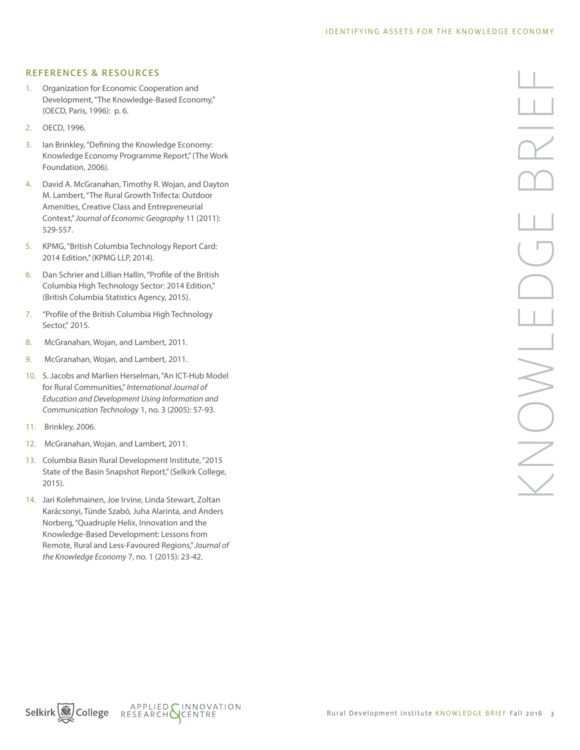#### REFERENCES & RESOURCES

- 1. Organization for Economic Cooperation and Development, "The Knowledge-Based Economy," (OECD, Paris, 1996): p. 6.
- 2. OECD, 1996.
- 3. Ian Brinkley, "Defining the Knowledge Economy: Knowledge Economy Programme Report," (The Work Foundation, 2006).
- 4. David A. McGranahan, Timothy R. Wojan, and Dayton M. Lambert, "The Rural Growth Trifecta: Outdoor Amenities, Creative Class and Entrepreneurial Context," *Journal of Economic Geography* 11 (2011): 529-557.
- 5. KPMG, "British Columbia Technology Report Card: 2014 Edition," (KPMG LLP, 2014).
- 6. Dan Schrier and Lillian Hallin, "Profile of the British Columbia High Technology Sector: 2014 Edition," (British Columbia Statistics Agency, 2015).
- 7. "Profile of the British Columbia High Technology Sector," 2015.
- 8. McGranahan, Wojan, and Lambert, 2011.
- 9. McGranahan, Wojan, and Lambert, 2011.
- 10. S. Jacobs and Marlien Herselman, "An ICT-Hub Model for Rural Communities," *International Journal of Education and Development Using Information and Communication Technology* 1, no. 3 (2005): 57-93.
- 11. Brinkley, 2006.
- 12. McGranahan, Wojan, and Lambert, 2011.
- 13. Columbia Basin Rural Development Institute, "2015 State of the Basin Snapshot Report," (Selkirk College, 2015).
- 14. Jari Kolehmainen, Joe Irvine, Linda Stewart, Zoltan Karácsonyi, Tünde Szabó, Juha Alarinta, and Anders Norberg, "Quadruple Helix, Innovation and the Knowledge-Based Development: Lessons from Remote, Rural and Less-Favoured Regions," *Journal of the Knowledge Economy* 7, no. 1 (2015): 23-42.

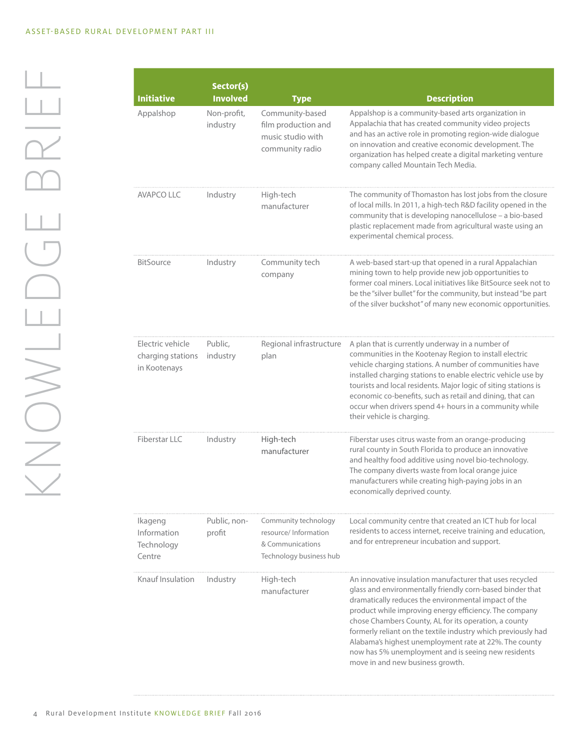| <b>Initiative</b>                                     | Sector(s)<br><b>Involved</b> | <b>Type</b>                                                                                  | <b>Description</b>                                                                                                                                                                                                                                                                                                                                                                                                                                                                                                     |
|-------------------------------------------------------|------------------------------|----------------------------------------------------------------------------------------------|------------------------------------------------------------------------------------------------------------------------------------------------------------------------------------------------------------------------------------------------------------------------------------------------------------------------------------------------------------------------------------------------------------------------------------------------------------------------------------------------------------------------|
| Appalshop                                             | Non-profit,<br>industry      | Community-based<br>film production and<br>music studio with<br>community radio               | Appalshop is a community-based arts organization in<br>Appalachia that has created community video projects<br>and has an active role in promoting region-wide dialogue<br>on innovation and creative economic development. The<br>organization has helped create a digital marketing venture<br>company called Mountain Tech Media.                                                                                                                                                                                   |
| <b>AVAPCO LLC</b>                                     | Industry                     | High-tech<br>manufacturer                                                                    | The community of Thomaston has lost jobs from the closure<br>of local mills. In 2011, a high-tech R&D facility opened in the<br>community that is developing nanocellulose - a bio-based<br>plastic replacement made from agricultural waste using an<br>experimental chemical process.                                                                                                                                                                                                                                |
| <b>BitSource</b>                                      | Industry                     | Community tech<br>company                                                                    | A web-based start-up that opened in a rural Appalachian<br>mining town to help provide new job opportunities to<br>former coal miners. Local initiatives like BitSource seek not to<br>be the "silver bullet" for the community, but instead "be part<br>of the silver buckshot" of many new economic opportunities.                                                                                                                                                                                                   |
| Electric vehicle<br>charging stations<br>in Kootenays | Public,<br>industry          | Regional infrastructure<br>plan                                                              | A plan that is currently underway in a number of<br>communities in the Kootenay Region to install electric<br>vehicle charging stations. A number of communities have<br>installed charging stations to enable electric vehicle use by<br>tourists and local residents. Major logic of siting stations is<br>economic co-benefits, such as retail and dining, that can<br>occur when drivers spend 4+ hours in a community while<br>their vehicle is charging.                                                         |
| Fiberstar LLC                                         | Industry                     | High-tech<br>manufacturer                                                                    | Fiberstar uses citrus waste from an orange-producing<br>rural county in South Florida to produce an innovative<br>and healthy food additive using novel bio-technology.<br>The company diverts waste from local orange juice<br>manufacturers while creating high-paying jobs in an<br>economically deprived county.                                                                                                                                                                                                   |
| Ikageng<br>Information<br>Technology<br>Centre        | Public, non-<br>profit       | Community technology<br>resource/ Information<br>& Communications<br>Technology business hub | Local community centre that created an ICT hub for local<br>residents to access internet, receive training and education,<br>and for entrepreneur incubation and support.                                                                                                                                                                                                                                                                                                                                              |
| Knauf Insulation                                      | Industry                     | High-tech<br>manufacturer                                                                    | An innovative insulation manufacturer that uses recycled<br>glass and environmentally friendly corn-based binder that<br>dramatically reduces the environmental impact of the<br>product while improving energy efficiency. The company<br>chose Chambers County, AL for its operation, a county<br>formerly reliant on the textile industry which previously had<br>Alabama's highest unemployment rate at 22%. The county<br>now has 5% unemployment and is seeing new residents<br>move in and new business growth. |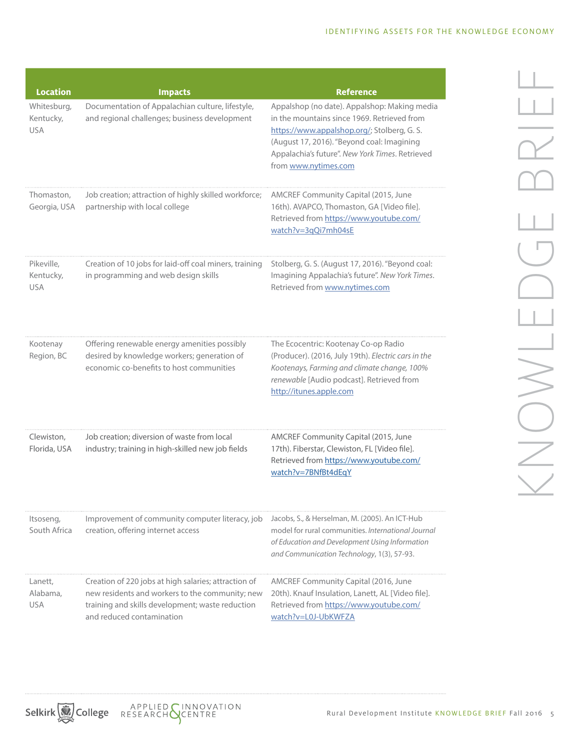| <b>Location</b>                        | <b>Impacts</b>                                                                                                                                                                           | <b>Reference</b>                                                                                                                                                                                                                                                    |  |
|----------------------------------------|------------------------------------------------------------------------------------------------------------------------------------------------------------------------------------------|---------------------------------------------------------------------------------------------------------------------------------------------------------------------------------------------------------------------------------------------------------------------|--|
| Whitesburg,<br>Kentucky,<br><b>USA</b> | Documentation of Appalachian culture, lifestyle,<br>and regional challenges; business development                                                                                        | Appalshop (no date). Appalshop: Making media<br>in the mountains since 1969. Retrieved from<br>https://www.appalshop.org/; Stolberg, G. S.<br>(August 17, 2016). "Beyond coal: Imagining<br>Appalachia's future". New York Times. Retrieved<br>from www.nytimes.com |  |
| Thomaston,<br>Georgia, USA             | Job creation; attraction of highly skilled workforce;<br>partnership with local college                                                                                                  | AMCREF Community Capital (2015, June<br>16th). AVAPCO, Thomaston, GA [Video file].<br>Retrieved from https://www.youtube.com/<br>watch?v=3qQi7mh04sE                                                                                                                |  |
| Pikeville,<br>Kentucky,<br><b>USA</b>  | Creation of 10 jobs for laid-off coal miners, training<br>in programming and web design skills                                                                                           | Stolberg, G. S. (August 17, 2016). "Beyond coal:<br>Imagining Appalachia's future". New York Times.<br>Retrieved from www.nytimes.com                                                                                                                               |  |
| Kootenay<br>Region, BC                 | Offering renewable energy amenities possibly<br>desired by knowledge workers; generation of<br>economic co-benefits to host communities                                                  | The Ecocentric: Kootenay Co-op Radio<br>(Producer). (2016, July 19th). Electric cars in the<br>Kootenays, Farming and climate change, 100%<br>renewable [Audio podcast]. Retrieved from<br>http://itunes.apple.com                                                  |  |
| Clewiston,<br>Florida, USA             | Job creation; diversion of waste from local<br>industry; training in high-skilled new job fields                                                                                         | AMCREF Community Capital (2015, June<br>17th). Fiberstar, Clewiston, FL [Video file].<br>Retrieved from https://www.youtube.com/<br>watch?v=7BNfBt4dEqY                                                                                                             |  |
| Itsoseng,<br>South Africa              | Improvement of community computer literacy, job<br>creation, offering internet access                                                                                                    | Jacobs, S., & Herselman, M. (2005). An ICT-Hub<br>model for rural communities. International Journal<br>of Education and Development Using Information<br>and Communication Technology, 1(3), 57-93.                                                                |  |
| Lanett,<br>Alabama,<br><b>USA</b>      | Creation of 220 jobs at high salaries; attraction of<br>new residents and workers to the community; new<br>training and skills development; waste reduction<br>and reduced contamination | AMCREF Community Capital (2016, June<br>20th). Knauf Insulation, Lanett, AL [Video file].<br>Retrieved from https://www.youtube.com/<br>watch?v=L0J-UbKWFZA                                                                                                         |  |

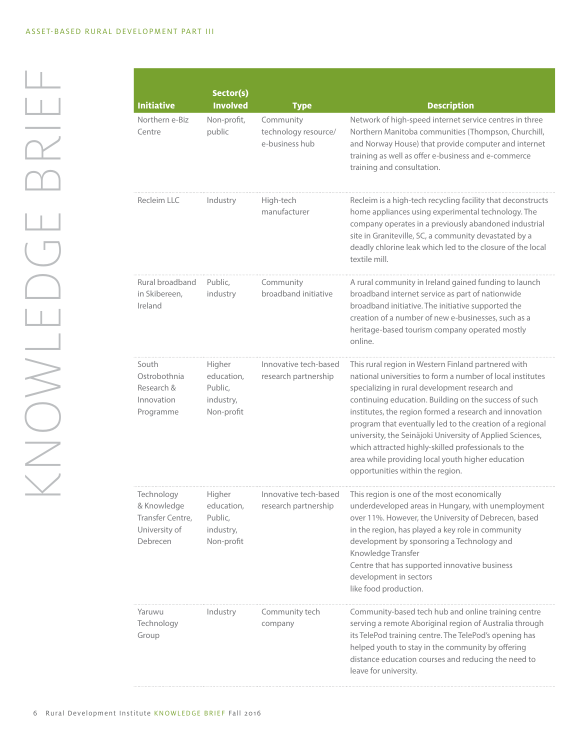| <b>Initiative</b>                                                          | Sector(s)<br><b>Involved</b>                               | <b>Type</b>                                         | <b>Description</b>                                                                                                                                                                                                                                                                                                                                                                                                                                                                                                                                                |
|----------------------------------------------------------------------------|------------------------------------------------------------|-----------------------------------------------------|-------------------------------------------------------------------------------------------------------------------------------------------------------------------------------------------------------------------------------------------------------------------------------------------------------------------------------------------------------------------------------------------------------------------------------------------------------------------------------------------------------------------------------------------------------------------|
| Northern e-Biz<br>Centre                                                   | Non-profit,<br>public                                      | Community<br>technology resource/<br>e-business hub | Network of high-speed internet service centres in three<br>Northern Manitoba communities (Thompson, Churchill,<br>and Norway House) that provide computer and internet<br>training as well as offer e-business and e-commerce<br>training and consultation.                                                                                                                                                                                                                                                                                                       |
| Recleim LLC                                                                | Industry                                                   | High-tech<br>manufacturer                           | Recleim is a high-tech recycling facility that deconstructs<br>home appliances using experimental technology. The<br>company operates in a previously abandoned industrial<br>site in Graniteville, SC, a community devastated by a<br>deadly chlorine leak which led to the closure of the local<br>textile mill.                                                                                                                                                                                                                                                |
| Rural broadband<br>in Skibereen,<br>Ireland                                | Public,<br>industry                                        | Community<br>broadband initiative                   | A rural community in Ireland gained funding to launch<br>broadband internet service as part of nationwide<br>broadband initiative. The initiative supported the<br>creation of a number of new e-businesses, such as a<br>heritage-based tourism company operated mostly<br>online.                                                                                                                                                                                                                                                                               |
| South<br>Ostrobothnia<br>Research &<br>Innovation<br>Programme             | Higher<br>education,<br>Public,<br>industry,<br>Non-profit | Innovative tech-based<br>research partnership       | This rural region in Western Finland partnered with<br>national universities to form a number of local institutes<br>specializing in rural development research and<br>continuing education. Building on the success of such<br>institutes, the region formed a research and innovation<br>program that eventually led to the creation of a regional<br>university, the Seinäjoki University of Applied Sciences,<br>which attracted highly-skilled professionals to the<br>area while providing local youth higher education<br>opportunities within the region. |
| Technology<br>& Knowledge<br>Transfer Centre,<br>University of<br>Debrecen | Higher<br>education,<br>Public,<br>industry,<br>Non-profit | Innovative tech-based<br>research partnership       | This region is one of the most economically<br>underdeveloped areas in Hungary, with unemployment<br>over 11%. However, the University of Debrecen, based<br>in the region, has played a key role in community<br>development by sponsoring a Technology and<br>Knowledge Transfer<br>Centre that has supported innovative business<br>development in sectors<br>like food production.                                                                                                                                                                            |
| Yaruwu<br>Technology<br>Group                                              | Industry                                                   | Community tech<br>company                           | Community-based tech hub and online training centre<br>serving a remote Aboriginal region of Australia through<br>its TelePod training centre. The TelePod's opening has<br>helped youth to stay in the community by offering<br>distance education courses and reducing the need to<br>leave for university.                                                                                                                                                                                                                                                     |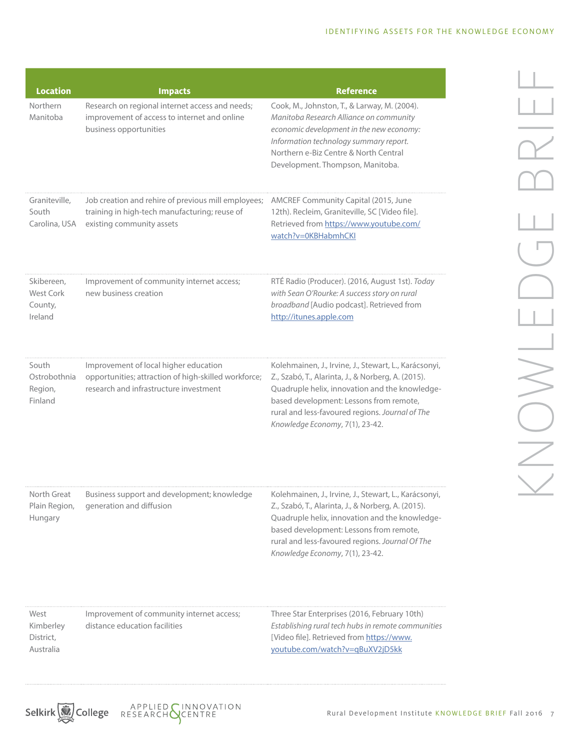| <b>Location</b>                                      | <b>Impacts</b>                                                                                                                          | <b>Reference</b>                                                                                                                                                                                                                                                                               |
|------------------------------------------------------|-----------------------------------------------------------------------------------------------------------------------------------------|------------------------------------------------------------------------------------------------------------------------------------------------------------------------------------------------------------------------------------------------------------------------------------------------|
| Northern<br>Manitoba                                 | Research on regional internet access and needs;<br>improvement of access to internet and online<br>business opportunities               | Cook, M., Johnston, T., & Larway, M. (2004).<br>Manitoba Research Alliance on community<br>economic development in the new economy:<br>Information technology summary report.<br>Northern e-Biz Centre & North Central<br>Development. Thompson, Manitoba.                                     |
| Graniteville,<br>South<br>Carolina, USA              | Job creation and rehire of previous mill employees;<br>training in high-tech manufacturing; reuse of<br>existing community assets       | AMCREF Community Capital (2015, June<br>12th). Recleim, Graniteville, SC [Video file].<br>Retrieved from https://www.youtube.com/<br>watch?v=0KBHabmhCKI                                                                                                                                       |
| Skibereen,<br><b>West Cork</b><br>County,<br>Ireland | Improvement of community internet access;<br>new business creation                                                                      | RTÉ Radio (Producer). (2016, August 1st). Today<br>with Sean O'Rourke: A success story on rural<br>broadband [Audio podcast]. Retrieved from<br>http://itunes.apple.com                                                                                                                        |
| South<br>Ostrobothnia<br>Region,<br>Finland          | Improvement of local higher education<br>opportunities; attraction of high-skilled workforce;<br>research and infrastructure investment | Kolehmainen, J., Irvine, J., Stewart, L., Karácsonyi,<br>Z., Szabó, T., Alarinta, J., & Norberg, A. (2015).<br>Quadruple helix, innovation and the knowledge-<br>based development: Lessons from remote,<br>rural and less-favoured regions. Journal of The<br>Knowledge Economy, 7(1), 23-42. |
| North Great<br>Plain Region,<br>Hungary              | Business support and development; knowledge<br>generation and diffusion                                                                 | Kolehmainen, J., Irvine, J., Stewart, L., Karácsonyi,<br>Z., Szabó, T., Alarinta, J., & Norberg, A. (2015).<br>Quadruple helix, innovation and the knowledge-<br>based development: Lessons from remote,<br>rural and less-favoured regions. Journal Of The<br>Knowledge Economy, 7(1), 23-42. |
| West<br>Kimberley<br>District,<br>Australia          | Improvement of community internet access;<br>distance education facilities                                                              | Three Star Enterprises (2016, February 10th)<br>Establishing rural tech hubs in remote communities<br>[Video file]. Retrieved from https://www.<br>youtube.com/watch?v=qBuXV2jD5kk                                                                                                             |